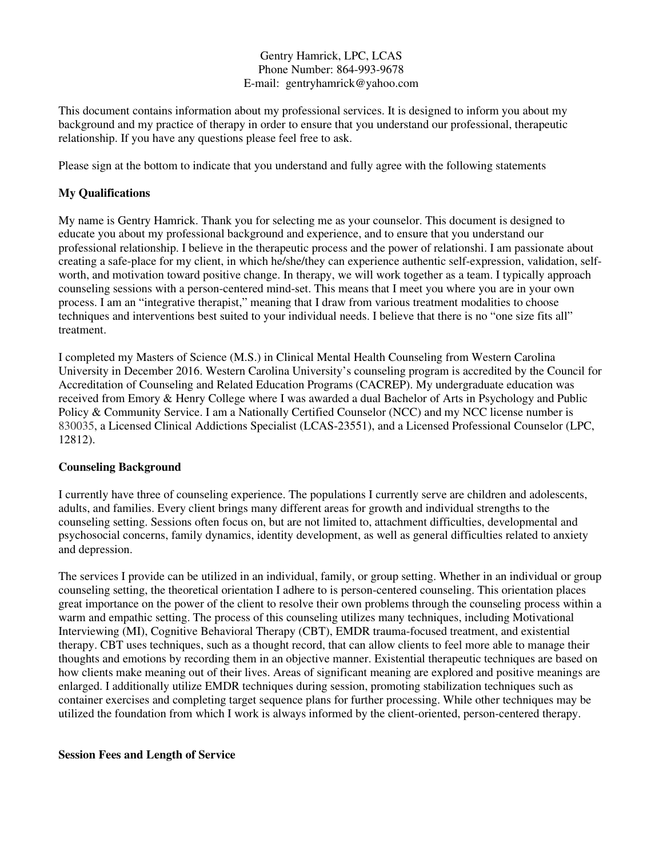## Gentry Hamrick, LPC, LCAS Phone Number: 864-993-9678 E-mail: gentryhamrick@yahoo.com

This document contains information about my professional services. It is designed to inform you about my background and my practice of therapy in order to ensure that you understand our professional, therapeutic relationship. If you have any questions please feel free to ask.

Please sign at the bottom to indicate that you understand and fully agree with the following statements

## **My Qualifications**

My name is Gentry Hamrick. Thank you for selecting me as your counselor. This document is designed to educate you about my professional background and experience, and to ensure that you understand our professional relationship. I believe in the therapeutic process and the power of relationshi. I am passionate about creating a safe-place for my client, in which he/she/they can experience authentic self-expression, validation, selfworth, and motivation toward positive change. In therapy, we will work together as a team. I typically approach counseling sessions with a person-centered mind-set. This means that I meet you where you are in your own process. I am an "integrative therapist," meaning that I draw from various treatment modalities to choose techniques and interventions best suited to your individual needs. I believe that there is no "one size fits all" treatment.

I completed my Masters of Science (M.S.) in Clinical Mental Health Counseling from Western Carolina University in December 2016. Western Carolina University's counseling program is accredited by the Council for Accreditation of Counseling and Related Education Programs (CACREP). My undergraduate education was received from Emory & Henry College where I was awarded a dual Bachelor of Arts in Psychology and Public Policy & Community Service. I am a Nationally Certified Counselor (NCC) and my NCC license number is 830035, a Licensed Clinical Addictions Specialist (LCAS-23551), and a Licensed Professional Counselor (LPC, 12812).

## **Counseling Background**

I currently have three of counseling experience. The populations I currently serve are children and adolescents, adults, and families. Every client brings many different areas for growth and individual strengths to the counseling setting. Sessions often focus on, but are not limited to, attachment difficulties, developmental and psychosocial concerns, family dynamics, identity development, as well as general difficulties related to anxiety and depression.

The services I provide can be utilized in an individual, family, or group setting. Whether in an individual or group counseling setting, the theoretical orientation I adhere to is person-centered counseling. This orientation places great importance on the power of the client to resolve their own problems through the counseling process within a warm and empathic setting. The process of this counseling utilizes many techniques, including Motivational Interviewing (MI), Cognitive Behavioral Therapy (CBT), EMDR trauma-focused treatment, and existential therapy. CBT uses techniques, such as a thought record, that can allow clients to feel more able to manage their thoughts and emotions by recording them in an objective manner. Existential therapeutic techniques are based on how clients make meaning out of their lives. Areas of significant meaning are explored and positive meanings are enlarged. I additionally utilize EMDR techniques during session, promoting stabilization techniques such as container exercises and completing target sequence plans for further processing. While other techniques may be utilized the foundation from which I work is always informed by the client-oriented, person-centered therapy.

#### **Session Fees and Length of Service**